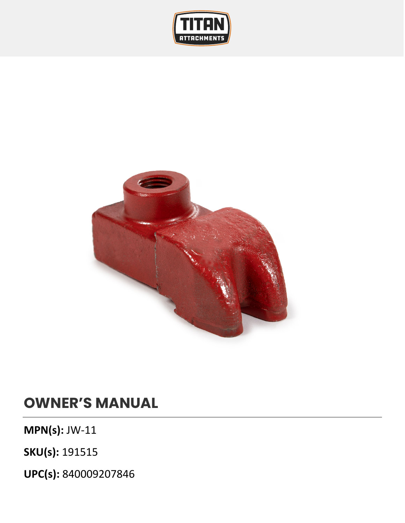



## **OWNER'S MANUAL**

**MPN(s):** JW-11

**SKU(s):** 191515

**UPC(s):** 840009207846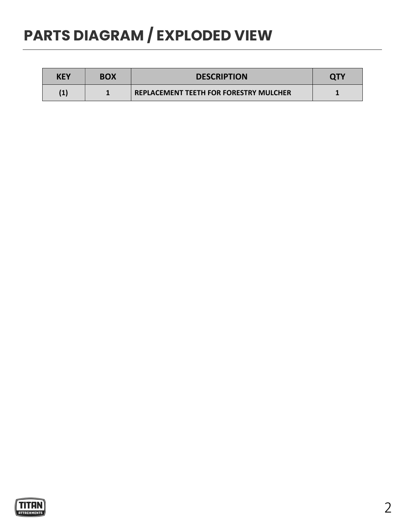## **PARTS DIAGRAM / EXPLODED VIEW**

| KEY               | <b>BOX</b> | <b>DESCRIPTION</b>                            | <b>QTY</b> |
|-------------------|------------|-----------------------------------------------|------------|
| $\left( 1\right)$ |            | <b>REPLACEMENT TEETH FOR FORESTRY MULCHER</b> |            |